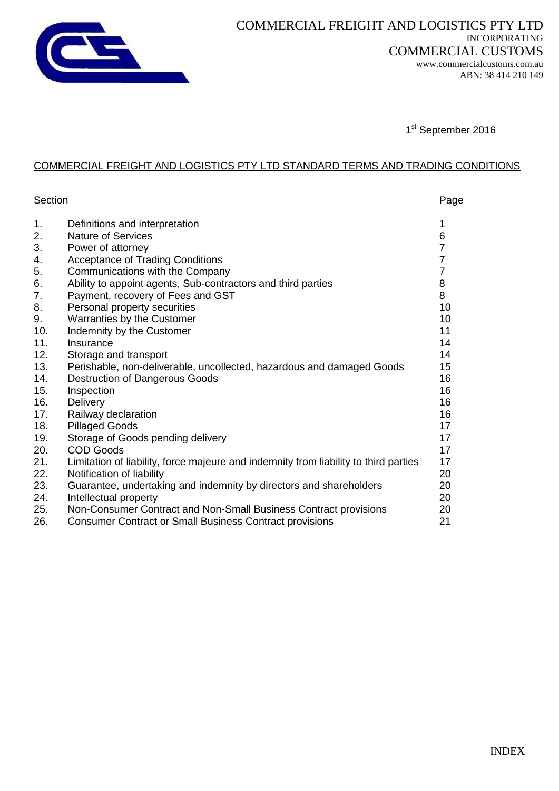

1st September 2016

## COMMERCIAL FREIGHT AND LOGISTICS PTY LTD STANDARD TERMS AND TRADING CONDITIONS

| Section |                                                                                      | Page           |
|---------|--------------------------------------------------------------------------------------|----------------|
| 1.      | Definitions and interpretation                                                       | 1              |
| 2.      | <b>Nature of Services</b>                                                            | 6              |
| 3.      | Power of attorney                                                                    | 7              |
| 4.      | <b>Acceptance of Trading Conditions</b>                                              | $\overline{7}$ |
| 5.      | Communications with the Company                                                      | $\overline{7}$ |
| 6.      | Ability to appoint agents, Sub-contractors and third parties                         | 8              |
| 7.      | Payment, recovery of Fees and GST                                                    | 8              |
| 8.      | Personal property securities                                                         | 10             |
| 9.      | Warranties by the Customer                                                           | 10             |
| 10.     | Indemnity by the Customer                                                            | 11             |
| 11.     | Insurance                                                                            | 14             |
| 12.     | Storage and transport                                                                | 14             |
| 13.     | Perishable, non-deliverable, uncollected, hazardous and damaged Goods                | 15             |
| 14.     | Destruction of Dangerous Goods                                                       | 16             |
| 15.     | Inspection                                                                           | 16             |
| 16.     | Delivery                                                                             | 16             |
| 17.     | Railway declaration                                                                  | 16             |
| 18.     | <b>Pillaged Goods</b>                                                                | 17             |
| 19.     | Storage of Goods pending delivery                                                    | 17             |
| 20.     | <b>COD Goods</b>                                                                     | 17             |
| 21.     | Limitation of liability, force majeure and indemnity from liability to third parties | 17             |
| 22.     | Notification of liability                                                            | 20             |
| 23.     | Guarantee, undertaking and indemnity by directors and shareholders                   | 20             |
| 24.     | Intellectual property                                                                | 20             |
| 25.     | Non-Consumer Contract and Non-Small Business Contract provisions                     | 20             |
| 26.     | <b>Consumer Contract or Small Business Contract provisions</b>                       | 21             |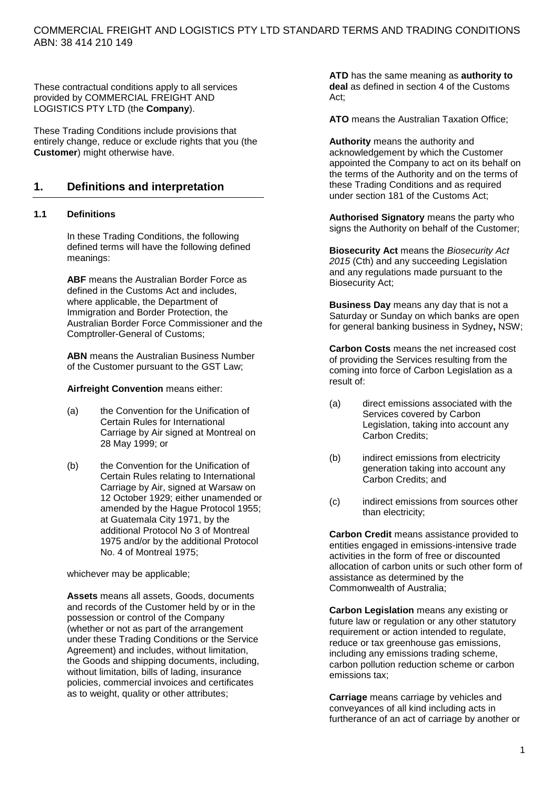These contractual conditions apply to all services provided by COMMERCIAL FREIGHT AND LOGISTICS PTY LTD (the **Company**).

These Trading Conditions include provisions that entirely change, reduce or exclude rights that you (the **Customer**) might otherwise have.

## **1. Definitions and interpretation**

#### **1.1 Definitions**

In these Trading Conditions, the following defined terms will have the following defined meanings:

**ABF** means the Australian Border Force as defined in the Customs Act and includes, where applicable, the Department of Immigration and Border Protection, the Australian Border Force Commissioner and the Comptroller-General of Customs;

**ABN** means the Australian Business Number of the Customer pursuant to the GST Law;

**Airfreight Convention** means either:

- (a) the Convention for the Unification of Certain Rules for International Carriage by Air signed at Montreal on 28 May 1999; or
- (b) the Convention for the Unification of Certain Rules relating to International Carriage by Air, signed at Warsaw on 12 October 1929; either unamended or amended by the Hague Protocol 1955; at Guatemala City 1971, by the additional Protocol No 3 of Montreal 1975 and/or by the additional Protocol No. 4 of Montreal 1975;

whichever may be applicable;

**Assets** means all assets, Goods, documents and records of the Customer held by or in the possession or control of the Company (whether or not as part of the arrangement under these Trading Conditions or the Service Agreement) and includes, without limitation, the Goods and shipping documents, including, without limitation, bills of lading, insurance policies, commercial invoices and certificates as to weight, quality or other attributes;

**ATD** has the same meaning as **authority to deal** as defined in section 4 of the Customs Act;

**ATO** means the Australian Taxation Office;

**Authority** means the authority and acknowledgement by which the Customer appointed the Company to act on its behalf on the terms of the Authority and on the terms of these Trading Conditions and as required under section 181 of the Customs Act;

**Authorised Signatory** means the party who signs the Authority on behalf of the Customer;

**Biosecurity Act** means the *Biosecurity Act 2015* (Cth) and any succeeding Legislation and any regulations made pursuant to the Biosecurity Act;

**Business Day** means any day that is not a Saturday or Sunday on which banks are open for general banking business in Sydney**,** NSW;

**Carbon Costs** means the net increased cost of providing the Services resulting from the coming into force of Carbon Legislation as a result of:

- (a) direct emissions associated with the Services covered by Carbon Legislation, taking into account any Carbon Credits;
- (b) indirect emissions from electricity generation taking into account any Carbon Credits; and
- (c) indirect emissions from sources other than electricity;

**Carbon Credit** means assistance provided to entities engaged in emissions-intensive trade activities in the form of free or discounted allocation of carbon units or such other form of assistance as determined by the Commonwealth of Australia;

**Carbon Legislation** means any existing or future law or regulation or any other statutory requirement or action intended to regulate, reduce or tax greenhouse gas emissions, including any emissions trading scheme, carbon pollution reduction scheme or carbon emissions tax;

**Carriage** means carriage by vehicles and conveyances of all kind including acts in furtherance of an act of carriage by another or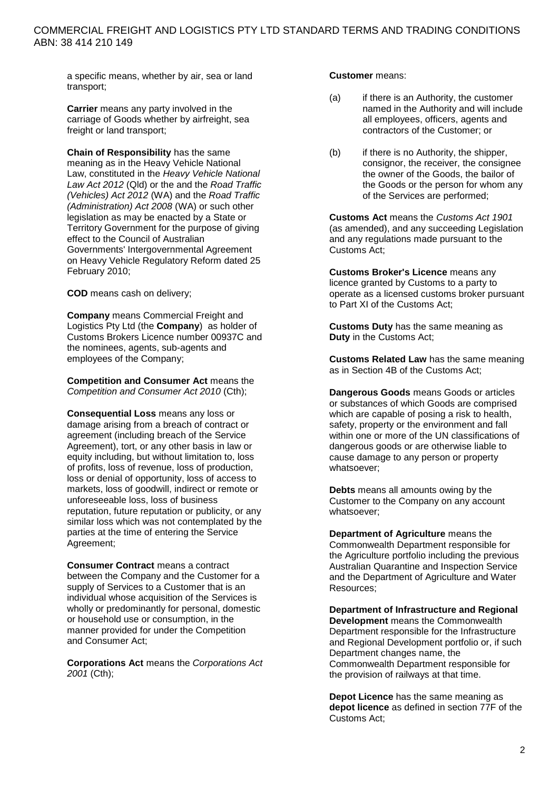a specific means, whether by air, sea or land transport;

**Carrier** means any party involved in the carriage of Goods whether by airfreight, sea freight or land transport;

**Chain of Responsibility** has the same meaning as in the Heavy Vehicle National Law, constituted in the *Heavy Vehicle National Law Act 2012* (Qld) or the and the *Road Traffic (Vehicles) Act 2012* (WA) and the *Road Traffic (Administration) Act 2008* (WA) or such other legislation as may be enacted by a State or Territory Government for the purpose of giving effect to the Council of Australian Governments' Intergovernmental Agreement on Heavy Vehicle Regulatory Reform dated 25 February 2010;

**COD** means cash on delivery;

**Company** means Commercial Freight and Logistics Pty Ltd (the **Company**) as holder of Customs Brokers Licence number 00937C and the nominees, agents, sub-agents and employees of the Company;

**Competition and Consumer Act** means the *Competition and Consumer Act 2010* (Cth);

**Consequential Loss** means any loss or damage arising from a breach of contract or agreement (including breach of the Service Agreement), tort, or any other basis in law or equity including, but without limitation to, loss of profits, loss of revenue, loss of production, loss or denial of opportunity, loss of access to markets, loss of goodwill, indirect or remote or unforeseeable loss, loss of business reputation, future reputation or publicity, or any similar loss which was not contemplated by the parties at the time of entering the Service Agreement;

**Consumer Contract** means a contract between the Company and the Customer for a supply of Services to a Customer that is an individual whose acquisition of the Services is wholly or predominantly for personal, domestic or household use or consumption, in the manner provided for under the Competition and Consumer Act;

**Corporations Act** means the *Corporations Act 2001* (Cth);

**Customer** means:

- (a) if there is an Authority, the customer named in the Authority and will include all employees, officers, agents and contractors of the Customer; or
- (b) if there is no Authority, the shipper, consignor, the receiver, the consignee the owner of the Goods, the bailor of the Goods or the person for whom any of the Services are performed;

**Customs Act** means the *Customs Act 1901* (as amended), and any succeeding Legislation and any regulations made pursuant to the Customs Act;

**Customs Broker's Licence** means any licence granted by Customs to a party to operate as a licensed customs broker pursuant to Part XI of the Customs Act;

**Customs Duty** has the same meaning as **Duty** in the Customs Act;

**Customs Related Law** has the same meaning as in Section 4B of the Customs Act;

**Dangerous Goods** means Goods or articles or substances of which Goods are comprised which are capable of posing a risk to health, safety, property or the environment and fall within one or more of the UN classifications of dangerous goods or are otherwise liable to cause damage to any person or property whatsoever;

**Debts** means all amounts owing by the Customer to the Company on any account whatsoever;

**Department of Agriculture** means the Commonwealth Department responsible for the Agriculture portfolio including the previous Australian Quarantine and Inspection Service and the Department of Agriculture and Water Resources;

**Department of Infrastructure and Regional Development** means the Commonwealth Department responsible for the Infrastructure and Regional Development portfolio or, if such Department changes name, the Commonwealth Department responsible for the provision of railways at that time.

**Depot Licence** has the same meaning as **depot licence** as defined in section 77F of the Customs Act;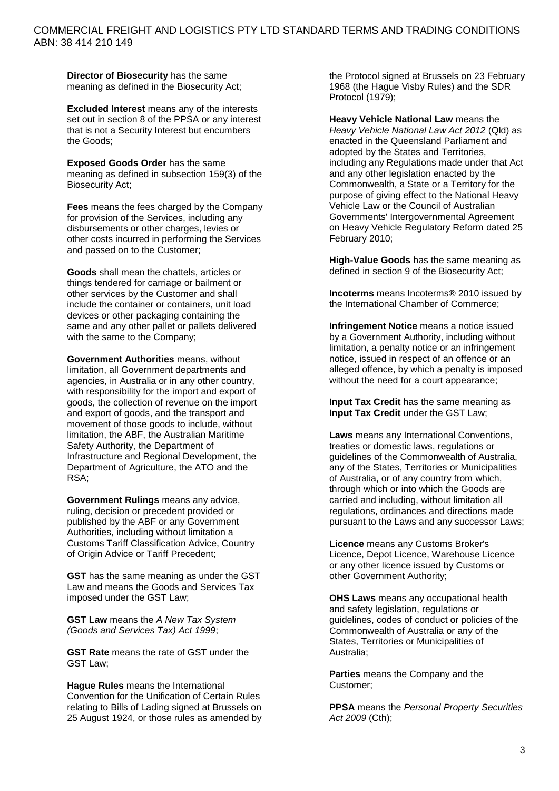**Director of Biosecurity** has the same meaning as defined in the Biosecurity Act;

**Excluded Interest** means any of the interests set out in section 8 of the PPSA or any interest that is not a Security Interest but encumbers the Goods;

**Exposed Goods Order** has the same meaning as defined in subsection 159(3) of the Biosecurity Act;

**Fees** means the fees charged by the Company for provision of the Services, including any disbursements or other charges, levies or other costs incurred in performing the Services and passed on to the Customer;

**Goods** shall mean the chattels, articles or things tendered for carriage or bailment or other services by the Customer and shall include the container or containers, unit load devices or other packaging containing the same and any other pallet or pallets delivered with the same to the Company;

**Government Authorities** means, without limitation, all Government departments and agencies, in Australia or in any other country, with responsibility for the import and export of goods, the collection of revenue on the import and export of goods, and the transport and movement of those goods to include, without limitation, the ABF, the Australian Maritime Safety Authority, the Department of Infrastructure and Regional Development, the Department of Agriculture, the ATO and the RSA;

**Government Rulings** means any advice, ruling, decision or precedent provided or published by the ABF or any Government Authorities, including without limitation a Customs Tariff Classification Advice, Country of Origin Advice or Tariff Precedent:

**GST** has the same meaning as under the GST Law and means the Goods and Services Tax imposed under the GST Law;

**GST Law** means the *A New Tax System (Goods and Services Tax) Act 1999*;

**GST Rate** means the rate of GST under the GST Law;

**Hague Rules** means the International Convention for the Unification of Certain Rules relating to Bills of Lading signed at Brussels on 25 August 1924, or those rules as amended by the Protocol signed at Brussels on 23 February 1968 (the Hague Visby Rules) and the SDR Protocol (1979);

**Heavy Vehicle National Law** means the *Heavy Vehicle National Law Act 2012* (Qld) as enacted in the Queensland Parliament and adopted by the States and Territories, including any Regulations made under that Act and any other legislation enacted by the Commonwealth, a State or a Territory for the purpose of giving effect to the National Heavy Vehicle Law or the Council of Australian Governments' Intergovernmental Agreement on Heavy Vehicle Regulatory Reform dated 25 February 2010;

**High-Value Goods** has the same meaning as defined in section 9 of the Biosecurity Act;

**Incoterms** means Incoterms® 2010 issued by the International Chamber of Commerce;

**Infringement Notice** means a notice issued by a Government Authority, including without limitation, a penalty notice or an infringement notice, issued in respect of an offence or an alleged offence, by which a penalty is imposed without the need for a court appearance;

**Input Tax Credit** has the same meaning as **Input Tax Credit** under the GST Law;

**Laws** means any International Conventions, treaties or domestic laws, regulations or guidelines of the Commonwealth of Australia, any of the States, Territories or Municipalities of Australia, or of any country from which, through which or into which the Goods are carried and including, without limitation all regulations, ordinances and directions made pursuant to the Laws and any successor Laws;

**Licence** means any Customs Broker's Licence, Depot Licence, Warehouse Licence or any other licence issued by Customs or other Government Authority;

**OHS Laws** means any occupational health and safety legislation, regulations or guidelines, codes of conduct or policies of the Commonwealth of Australia or any of the States, Territories or Municipalities of Australia;

**Parties** means the Company and the Customer;

**PPSA** means the *Personal Property Securities Act 2009* (Cth);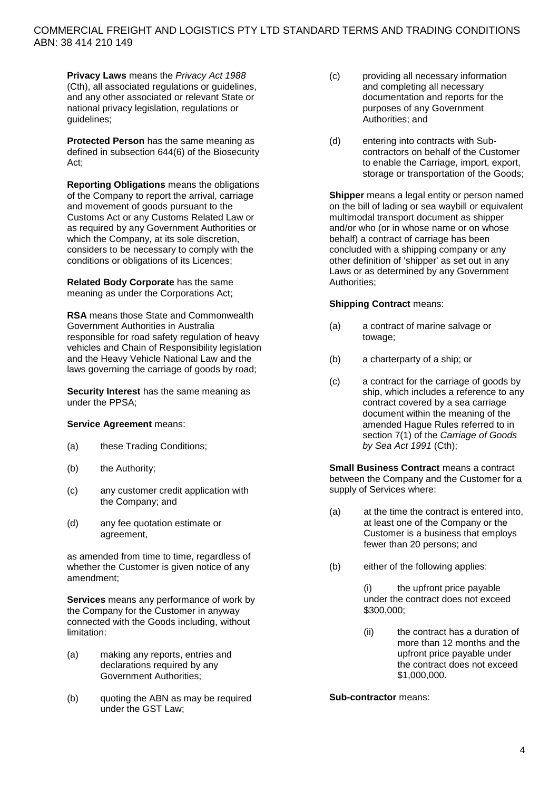**Privacy Laws** means the *Privacy Act 1988* (Cth), all associated regulations or guidelines, and any other associated or relevant State or national privacy legislation, regulations or guidelines;

**Protected Person** has the same meaning as defined in subsection 644(6) of the Biosecurity Act;

**Reporting Obligations** means the obligations of the Company to report the arrival, carriage and movement of goods pursuant to the Customs Act or any Customs Related Law or as required by any Government Authorities or which the Company, at its sole discretion, considers to be necessary to comply with the conditions or obligations of its Licences;

**Related Body Corporate** has the same meaning as under the Corporations Act;

**RSA** means those State and Commonwealth Government Authorities in Australia responsible for road safety regulation of heavy vehicles and Chain of Responsibility legislation and the Heavy Vehicle National Law and the laws governing the carriage of goods by road;

**Security Interest** has the same meaning as under the PPSA;

#### **Service Agreement** means:

- (a) these Trading Conditions;
- (b) the Authority;
- (c) any customer credit application with the Company; and
- (d) any fee quotation estimate or agreement,

as amended from time to time, regardless of whether the Customer is given notice of any amendment;

**Services** means any performance of work by the Company for the Customer in anyway connected with the Goods including, without limitation:

- (a) making any reports, entries and declarations required by any Government Authorities;
- (b) quoting the ABN as may be required under the GST Law;
- (c) providing all necessary information and completing all necessary documentation and reports for the purposes of any Government Authorities; and
- (d) entering into contracts with Subcontractors on behalf of the Customer to enable the Carriage, import, export, storage or transportation of the Goods;

**Shipper** means a legal entity or person named on the bill of lading or sea waybill or equivalent multimodal transport document as shipper and/or who (or in whose name or on whose behalf) a contract of carriage has been concluded with a shipping company or any other definition of 'shipper' as set out in any Laws or as determined by any Government Authorities;

#### **Shipping Contract** means:

- (a) a contract of marine salvage or towage;
- (b) a charterparty of a ship; or
- (c) a contract for the carriage of goods by ship, which includes a reference to any contract covered by a sea carriage document within the meaning of the amended Hague Rules referred to in section 7(1) of the *Carriage of Goods by Sea Act 1991* (Cth);

**Small Business Contract** means a contract between the Company and the Customer for a supply of Services where:

- (a) at the time the contract is entered into, at least one of the Company or the Customer is a business that employs fewer than 20 persons; and
- (b) either of the following applies:

(i) the upfront price payable under the contract does not exceed \$300,000;

(ii) the contract has a duration of more than 12 months and the upfront price payable under the contract does not exceed \$1,000,000.

**Sub-contractor** means: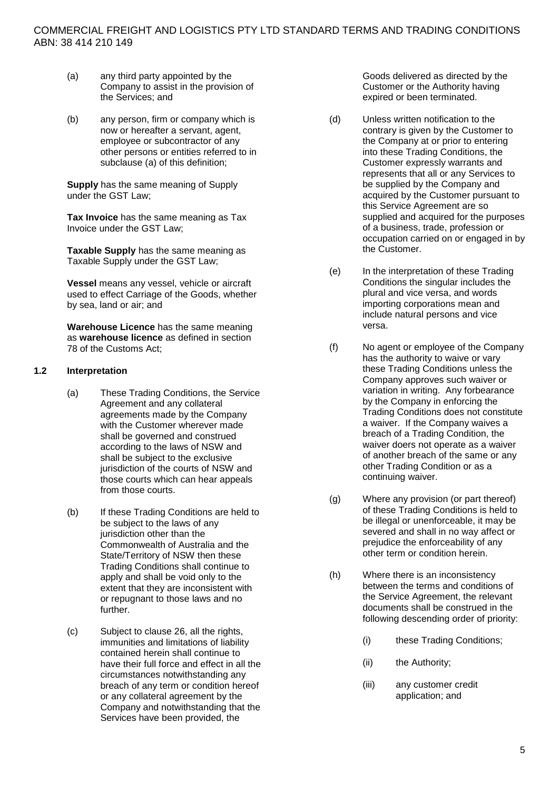- (a) any third party appointed by the Company to assist in the provision of the Services; and
- (b) any person, firm or company which is now or hereafter a servant, agent, employee or subcontractor of any other persons or entities referred to in subclause (a) of this definition;

**Supply** has the same meaning of Supply under the GST Law;

**Tax Invoice** has the same meaning as Tax Invoice under the GST Law;

**Taxable Supply** has the same meaning as Taxable Supply under the GST Law;

**Vessel** means any vessel, vehicle or aircraft used to effect Carriage of the Goods, whether by sea, land or air; and

**Warehouse Licence** has the same meaning as **warehouse licence** as defined in section 78 of the Customs Act;

#### **1.2 Interpretation**

- (a) These Trading Conditions, the Service Agreement and any collateral agreements made by the Company with the Customer wherever made shall be governed and construed according to the laws of NSW and shall be subject to the exclusive jurisdiction of the courts of NSW and those courts which can hear appeals from those courts.
- (b) If these Trading Conditions are held to be subject to the laws of any jurisdiction other than the Commonwealth of Australia and the State/Territory of NSW then these Trading Conditions shall continue to apply and shall be void only to the extent that they are inconsistent with or repugnant to those laws and no further.
- (c) Subject to clause [26,](#page-21-0) all the rights, immunities and limitations of liability contained herein shall continue to have their full force and effect in all the circumstances notwithstanding any breach of any term or condition hereof or any collateral agreement by the Company and notwithstanding that the Services have been provided, the

Goods delivered as directed by the Customer or the Authority having expired or been terminated.

- (d) Unless written notification to the contrary is given by the Customer to the Company at or prior to entering into these Trading Conditions, the Customer expressly warrants and represents that all or any Services to be supplied by the Company and acquired by the Customer pursuant to this Service Agreement are so supplied and acquired for the purposes of a business, trade, profession or occupation carried on or engaged in by the Customer.
- (e) In the interpretation of these Trading Conditions the singular includes the plural and vice versa, and words importing corporations mean and include natural persons and vice versa.
- (f) No agent or employee of the Company has the authority to waive or vary these Trading Conditions unless the Company approves such waiver or variation in writing. Any forbearance by the Company in enforcing the Trading Conditions does not constitute a waiver. If the Company waives a breach of a Trading Condition, the waiver doers not operate as a waiver of another breach of the same or any other Trading Condition or as a continuing waiver.
- (g) Where any provision (or part thereof) of these Trading Conditions is held to be illegal or unenforceable, it may be severed and shall in no way affect or prejudice the enforceability of any other term or condition herein.
- (h) Where there is an inconsistency between the terms and conditions of the Service Agreement, the relevant documents shall be construed in the following descending order of priority:
	- (i) these Trading Conditions;
	- (ii) the Authority;
	- (iii) any customer credit application; and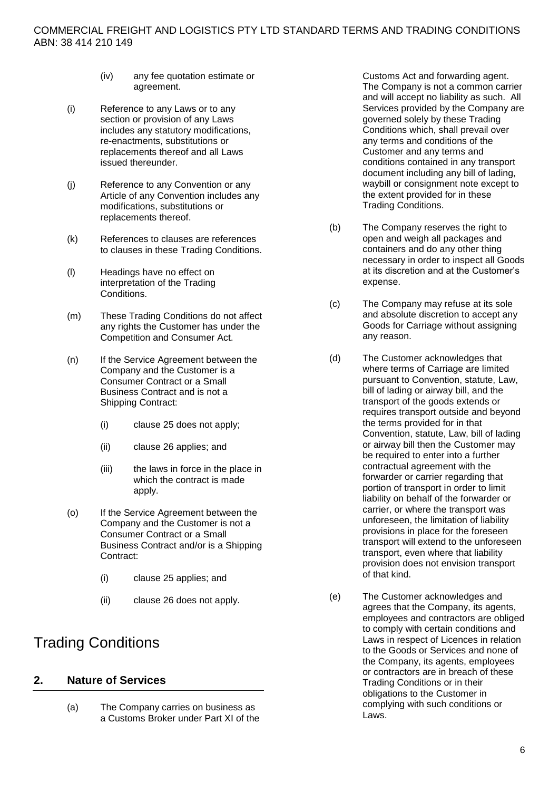- (iv) any fee quotation estimate or agreement.
- (i) Reference to any Laws or to any section or provision of any Laws includes any statutory modifications, re-enactments, substitutions or replacements thereof and all Laws issued thereunder.
- (j) Reference to any Convention or any Article of any Convention includes any modifications, substitutions or replacements thereof.
- (k) References to clauses are references to clauses in these Trading Conditions.
- (l) Headings have no effect on interpretation of the Trading Conditions.
- (m) These Trading Conditions do not affect any rights the Customer has under the Competition and Consumer Act.
- (n) If the Service Agreement between the Company and the Customer is a Consumer Contract or a Small Business Contract and is not a Shipping Contract:
	- (i) clause [25](#page-20-0) does not apply;
	- (ii) clause [26](#page-21-0) applies; and
	- (iii) the laws in force in the place in which the contract is made apply.
- (o) If the Service Agreement between the Company and the Customer is not a Consumer Contract or a Small Business Contract and/or is a Shipping Contract:
	- (i) clause [25](#page-20-0) applies; and
	- (ii) clause [26](#page-21-0) does not apply.

# Trading Conditions

# **2. Nature of Services**

(a) The Company carries on business as a Customs Broker under Part XI of the Customs Act and forwarding agent. The Company is not a common carrier and will accept no liability as such. All Services provided by the Company are governed solely by these Trading Conditions which, shall prevail over any terms and conditions of the Customer and any terms and conditions contained in any transport document including any bill of lading, waybill or consignment note except to the extent provided for in these Trading Conditions.

- (b) The Company reserves the right to open and weigh all packages and containers and do any other thing necessary in order to inspect all Goods at its discretion and at the Customer's expense.
- (c) The Company may refuse at its sole and absolute discretion to accept any Goods for Carriage without assigning any reason.
- (d) The Customer acknowledges that where terms of Carriage are limited pursuant to Convention, statute, Law, bill of lading or airway bill, and the transport of the goods extends or requires transport outside and beyond the terms provided for in that Convention, statute, Law, bill of lading or airway bill then the Customer may be required to enter into a further contractual agreement with the forwarder or carrier regarding that portion of transport in order to limit liability on behalf of the forwarder or carrier, or where the transport was unforeseen, the limitation of liability provisions in place for the foreseen transport will extend to the unforeseen transport, even where that liability provision does not envision transport of that kind.
- <span id="page-6-0"></span>(e) The Customer acknowledges and agrees that the Company, its agents, employees and contractors are obliged to comply with certain conditions and Laws in respect of Licences in relation to the Goods or Services and none of the Company, its agents, employees or contractors are in breach of these Trading Conditions or in their obligations to the Customer in complying with such conditions or Laws.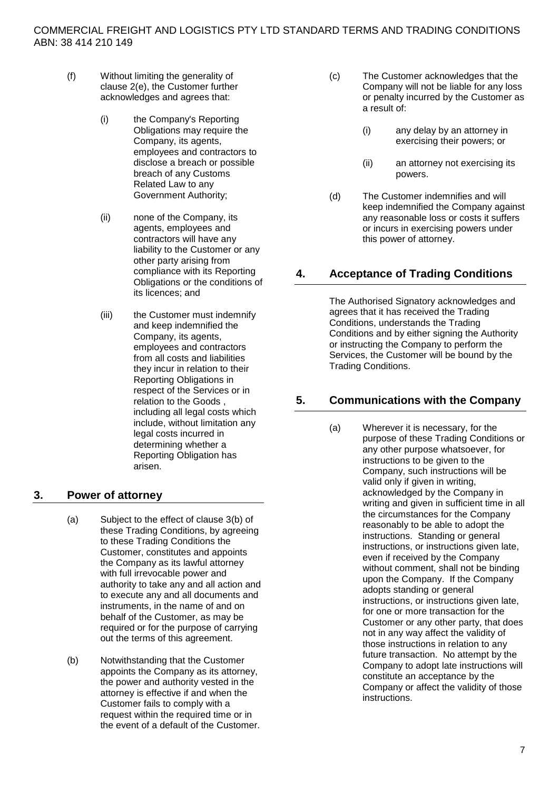- (f) Without limiting the generality of clause [2\(e\),](#page-6-0) the Customer further acknowledges and agrees that:
	- (i) the Company's Reporting Obligations may require the Company, its agents, employees and contractors to disclose a breach or possible breach of any Customs Related Law to any Government Authority;
	- (ii) none of the Company, its agents, employees and contractors will have any liability to the Customer or any other party arising from compliance with its Reporting Obligations or the conditions of its licences; and
	- (iii) the Customer must indemnify and keep indemnified the Company, its agents, employees and contractors from all costs and liabilities they incur in relation to their Reporting Obligations in respect of the Services or in relation to the Goods , including all legal costs which include, without limitation any legal costs incurred in determining whether a Reporting Obligation has arisen.

## **3. Power of attorney**

- (a) Subject to the effect of clause [3\(b\)](#page-7-0) of these Trading Conditions, by agreeing to these Trading Conditions the Customer, constitutes and appoints the Company as its lawful attorney with full irrevocable power and authority to take any and all action and to execute any and all documents and instruments, in the name of and on behalf of the Customer, as may be required or for the purpose of carrying out the terms of this agreement.
- <span id="page-7-0"></span>(b) Notwithstanding that the Customer appoints the Company as its attorney, the power and authority vested in the attorney is effective if and when the Customer fails to comply with a request within the required time or in the event of a default of the Customer.
- (c) The Customer acknowledges that the Company will not be liable for any loss or penalty incurred by the Customer as a result of:
	- (i) any delay by an attorney in exercising their powers; or
	- (ii) an attorney not exercising its powers.
- (d) The Customer indemnifies and will keep indemnified the Company against any reasonable loss or costs it suffers or incurs in exercising powers under this power of attorney.

## **4. Acceptance of Trading Conditions**

The Authorised Signatory acknowledges and agrees that it has received the Trading Conditions, understands the Trading Conditions and by either signing the Authority or instructing the Company to perform the Services, the Customer will be bound by the Trading Conditions.

## **5. Communications with the Company**

(a) Wherever it is necessary, for the purpose of these Trading Conditions or any other purpose whatsoever, for instructions to be given to the Company, such instructions will be valid only if given in writing, acknowledged by the Company in writing and given in sufficient time in all the circumstances for the Company reasonably to be able to adopt the instructions. Standing or general instructions, or instructions given late, even if received by the Company without comment, shall not be binding upon the Company. If the Company adopts standing or general instructions, or instructions given late, for one or more transaction for the Customer or any other party, that does not in any way affect the validity of those instructions in relation to any future transaction. No attempt by the Company to adopt late instructions will constitute an acceptance by the Company or affect the validity of those instructions.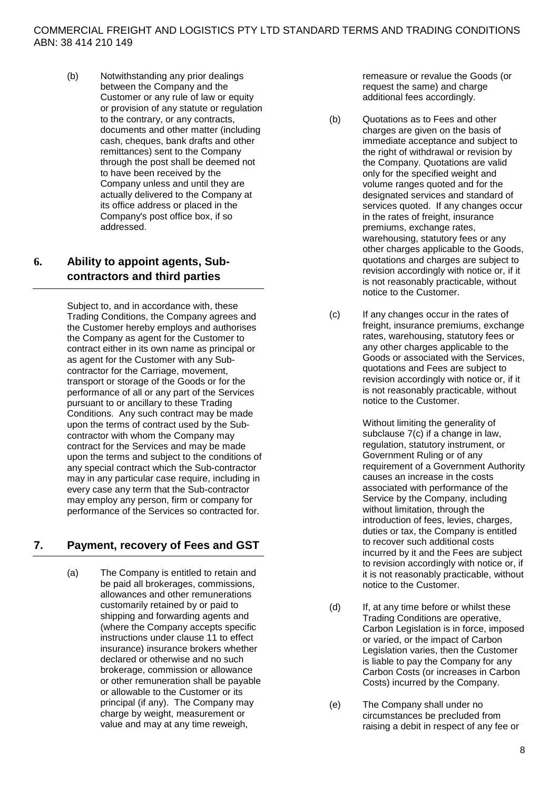(b) Notwithstanding any prior dealings between the Company and the Customer or any rule of law or equity or provision of any statute or regulation to the contrary, or any contracts, documents and other matter (including cash, cheques, bank drafts and other remittances) sent to the Company through the post shall be deemed not to have been received by the Company unless and until they are actually delivered to the Company at its office address or placed in the Company's post office box, if so addressed.

## <span id="page-8-2"></span>**6. Ability to appoint agents, Subcontractors and third parties**

Subject to, and in accordance with, these Trading Conditions, the Company agrees and the Customer hereby employs and authorises the Company as agent for the Customer to contract either in its own name as principal or as agent for the Customer with any Subcontractor for the Carriage, movement, transport or storage of the Goods or for the performance of all or any part of the Services pursuant to or ancillary to these Trading Conditions. Any such contract may be made upon the terms of contract used by the Subcontractor with whom the Company may contract for the Services and may be made upon the terms and subject to the conditions of any special contract which the Sub-contractor may in any particular case require, including in every case any term that the Sub-contractor may employ any person, firm or company for performance of the Services so contracted for.

# <span id="page-8-1"></span>**7. Payment, recovery of Fees and GST**

(a) The Company is entitled to retain and be paid all brokerages, commissions, allowances and other remunerations customarily retained by or paid to shipping and forwarding agents and (where the Company accepts specific instructions under clause [11](#page-14-0) to effect insurance) insurance brokers whether declared or otherwise and no such brokerage, commission or allowance or other remuneration shall be payable or allowable to the Customer or its principal (if any). The Company may charge by weight, measurement or value and may at any time reweigh,

remeasure or revalue the Goods (or request the same) and charge additional fees accordingly.

- (b) Quotations as to Fees and other charges are given on the basis of immediate acceptance and subject to the right of withdrawal or revision by the Company. Quotations are valid only for the specified weight and volume ranges quoted and for the designated services and standard of services quoted. If any changes occur in the rates of freight, insurance premiums, exchange rates, warehousing, statutory fees or any other charges applicable to the Goods, quotations and charges are subject to revision accordingly with notice or, if it is not reasonably practicable, without notice to the Customer.
- <span id="page-8-0"></span>(c) If any changes occur in the rates of freight, insurance premiums, exchange rates, warehousing, statutory fees or any other charges applicable to the Goods or associated with the Services, quotations and Fees are subject to revision accordingly with notice or, if it is not reasonably practicable, without notice to the Customer.

Without limiting the generality of subclause [7\(c\)](#page-8-0) if a change in law, regulation, statutory instrument, or Government Ruling or of any requirement of a Government Authority causes an increase in the costs associated with performance of the Service by the Company, including without limitation, through the introduction of fees, levies, charges, duties or tax, the Company is entitled to recover such additional costs incurred by it and the Fees are subject to revision accordingly with notice or, if it is not reasonably practicable, without notice to the Customer.

- (d) If, at any time before or whilst these Trading Conditions are operative, Carbon Legislation is in force, imposed or varied, or the impact of Carbon Legislation varies, then the Customer is liable to pay the Company for any Carbon Costs (or increases in Carbon Costs) incurred by the Company.
- (e) The Company shall under no circumstances be precluded from raising a debit in respect of any fee or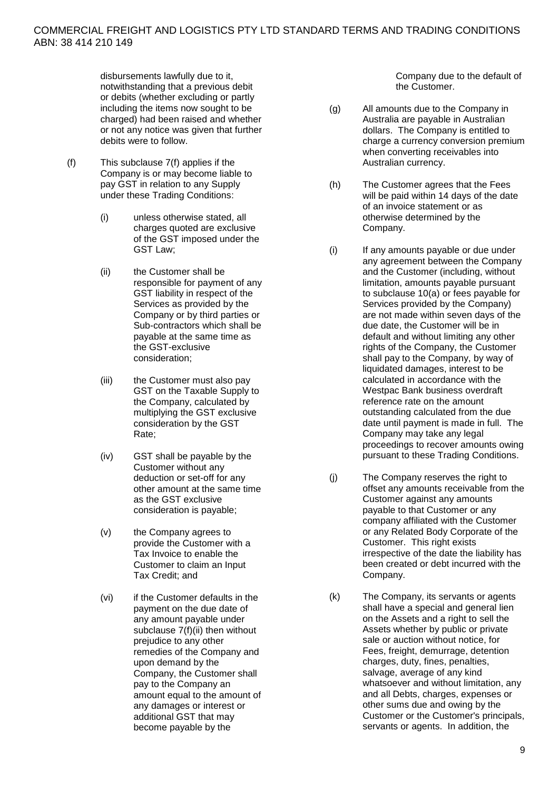disbursements lawfully due to it, notwithstanding that a previous debit or debits (whether excluding or partly including the items now sought to be charged) had been raised and whether or not any notice was given that further debits were to follow.

- <span id="page-9-1"></span><span id="page-9-0"></span>(f) This subclause [7\(f\)](#page-9-0) applies if the Company is or may become liable to pay GST in relation to any Supply under these Trading Conditions:
	- (i) unless otherwise stated, all charges quoted are exclusive of the GST imposed under the GST Law;
	- (ii) the Customer shall be responsible for payment of any GST liability in respect of the Services as provided by the Company or by third parties or Sub-contractors which shall be payable at the same time as the GST-exclusive consideration;
	- (iii) the Customer must also pay GST on the Taxable Supply to the Company, calculated by multiplying the GST exclusive consideration by the GST Rate;
	- (iv) GST shall be payable by the Customer without any deduction or set-off for any other amount at the same time as the GST exclusive consideration is payable;
	- (v) the Company agrees to provide the Customer with a Tax Invoice to enable the Customer to claim an Input Tax Credit; and
	- (vi) if the Customer defaults in the payment on the due date of any amount payable under subclause [7\(f\)\(ii\)](#page-9-1) then without prejudice to any other remedies of the Company and upon demand by the Company, the Customer shall pay to the Company an amount equal to the amount of any damages or interest or additional GST that may become payable by the

Company due to the default of the Customer.

- (g) All amounts due to the Company in Australia are payable in Australian dollars. The Company is entitled to charge a currency conversion premium when converting receivables into Australian currency.
- (h) The Customer agrees that the Fees will be paid within 14 days of the date of an invoice statement or as otherwise determined by the Company.
- (i) If any amounts payable or due under any agreement between the Company and the Customer (including, without limitation, amounts payable pursuant to subclause [10\(a\)](#page-11-0) or fees payable for Services provided by the Company) are not made within seven days of the due date, the Customer will be in default and without limiting any other rights of the Company, the Customer shall pay to the Company, by way of liquidated damages, interest to be calculated in accordance with the Westpac Bank business overdraft reference rate on the amount outstanding calculated from the due date until payment is made in full. The Company may take any legal proceedings to recover amounts owing pursuant to these Trading Conditions.
- (j) The Company reserves the right to offset any amounts receivable from the Customer against any amounts payable to that Customer or any company affiliated with the Customer or any Related Body Corporate of the Customer. This right exists irrespective of the date the liability has been created or debt incurred with the Company.
- <span id="page-9-2"></span>(k) The Company, its servants or agents shall have a special and general lien on the Assets and a right to sell the Assets whether by public or private sale or auction without notice, for Fees, freight, demurrage, detention charges, duty, fines, penalties, salvage, average of any kind whatsoever and without limitation, any and all Debts, charges, expenses or other sums due and owing by the Customer or the Customer's principals, servants or agents. In addition, the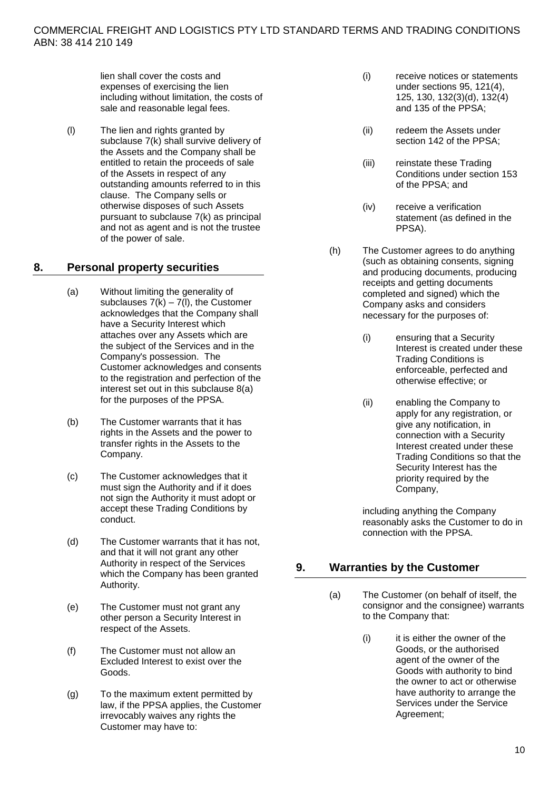lien shall cover the costs and expenses of exercising the lien including without limitation, the costs of sale and reasonable legal fees.

<span id="page-10-0"></span>(l) The lien and rights granted by subclause [7\(k\)](#page-9-2) shall survive delivery of the Assets and the Company shall be entitled to retain the proceeds of sale of the Assets in respect of any outstanding amounts referred to in this clause. The Company sells or otherwise disposes of such Assets pursuant to subclause [7\(k\)](#page-9-2) as principal and not as agent and is not the trustee of the power of sale.

## <span id="page-10-1"></span>**8. Personal property securities**

- (a) Without limiting the generality of subclauses  $7(K) - 7(I)$ , the Customer acknowledges that the Company shall have a Security Interest which attaches over any Assets which are the subject of the Services and in the Company's possession. The Customer acknowledges and consents to the registration and perfection of the interest set out in this subclause [8\(a\)](#page-10-1) for the purposes of the PPSA.
- (b) The Customer warrants that it has rights in the Assets and the power to transfer rights in the Assets to the Company.
- (c) The Customer acknowledges that it must sign the Authority and if it does not sign the Authority it must adopt or accept these Trading Conditions by conduct.
- (d) The Customer warrants that it has not, and that it will not grant any other Authority in respect of the Services which the Company has been granted Authority.
- (e) The Customer must not grant any other person a Security Interest in respect of the Assets.
- (f) The Customer must not allow an Excluded Interest to exist over the Goods.
- (g) To the maximum extent permitted by law, if the PPSA applies, the Customer irrevocably waives any rights the Customer may have to:
- (i) receive notices or statements under sections 95, 121(4), 125, 130, 132(3)(d), 132(4) and 135 of the PPSA;
- (ii) redeem the Assets under section 142 of the PPSA;
- (iii) reinstate these Trading Conditions under section 153 of the PPSA; and
- (iv) receive a verification statement (as defined in the PPSA).
- (h) The Customer agrees to do anything (such as obtaining consents, signing and producing documents, producing receipts and getting documents completed and signed) which the Company asks and considers necessary for the purposes of:
	- (i) ensuring that a Security Interest is created under these Trading Conditions is enforceable, perfected and otherwise effective; or
	- (ii) enabling the Company to apply for any registration, or give any notification, in connection with a Security Interest created under these Trading Conditions so that the Security Interest has the priority required by the Company,

including anything the Company reasonably asks the Customer to do in connection with the PPSA.

## <span id="page-10-2"></span>**9. Warranties by the Customer**

- (a) The Customer (on behalf of itself, the consignor and the consignee) warrants to the Company that:
	- (i) it is either the owner of the Goods, or the authorised agent of the owner of the Goods with authority to bind the owner to act or otherwise have authority to arrange the Services under the Service Agreement;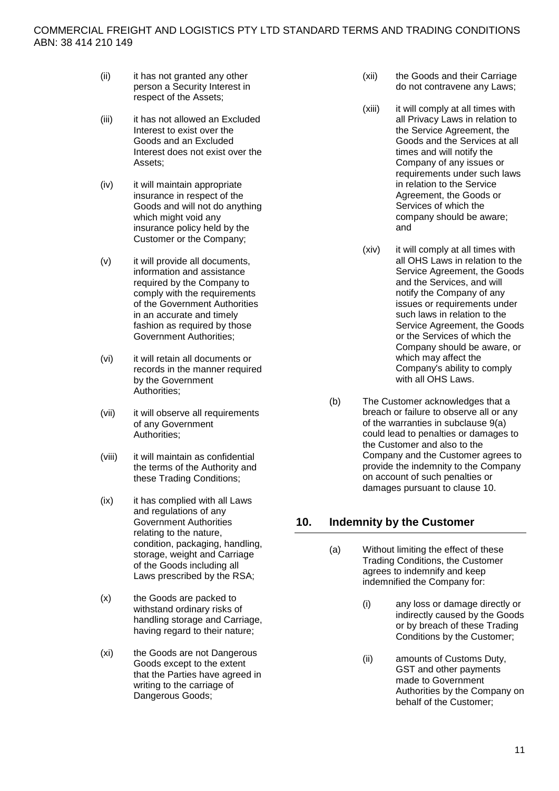- (ii) it has not granted any other person a Security Interest in respect of the Assets;
- (iii) it has not allowed an Excluded Interest to exist over the Goods and an Excluded Interest does not exist over the Assets;
- (iv) it will maintain appropriate insurance in respect of the Goods and will not do anything which might void any insurance policy held by the Customer or the Company;
- (v) it will provide all documents, information and assistance required by the Company to comply with the requirements of the Government Authorities in an accurate and timely fashion as required by those Government Authorities;
- (vi) it will retain all documents or records in the manner required by the Government Authorities;
- (vii) it will observe all requirements of any Government Authorities;
- (viii) it will maintain as confidential the terms of the Authority and these Trading Conditions;
- (ix) it has complied with all Laws and regulations of any Government Authorities relating to the nature, condition, packaging, handling, storage, weight and Carriage of the Goods including all Laws prescribed by the RSA;
- (x) the Goods are packed to withstand ordinary risks of handling storage and Carriage, having regard to their nature;
- (xi) the Goods are not Dangerous Goods except to the extent that the Parties have agreed in writing to the carriage of Dangerous Goods;
- (xii) the Goods and their Carriage do not contravene any Laws;
- (xiii) it will comply at all times with all Privacy Laws in relation to the Service Agreement, the Goods and the Services at all times and will notify the Company of any issues or requirements under such laws in relation to the Service Agreement, the Goods or Services of which the company should be aware; and
- (xiv) it will comply at all times with all OHS Laws in relation to the Service Agreement, the Goods and the Services, and will notify the Company of any issues or requirements under such laws in relation to the Service Agreement, the Goods or the Services of which the Company should be aware, or which may affect the Company's ability to comply with all OHS Laws.
- (b) The Customer acknowledges that a breach or failure to observe all or any of the warranties in subclause [9\(a\)](#page-10-2) could lead to penalties or damages to the Customer and also to the Company and the Customer agrees to provide the indemnity to the Company on account of such penalties or damages pursuant to claus[e 10.](#page-11-1)

# <span id="page-11-1"></span><span id="page-11-0"></span>**10. Indemnity by the Customer**

- (a) Without limiting the effect of these Trading Conditions, the Customer agrees to indemnify and keep indemnified the Company for:
	- (i) any loss or damage directly or indirectly caused by the Goods or by breach of these Trading Conditions by the Customer;
	- (ii) amounts of Customs Duty, GST and other payments made to Government Authorities by the Company on behalf of the Customer;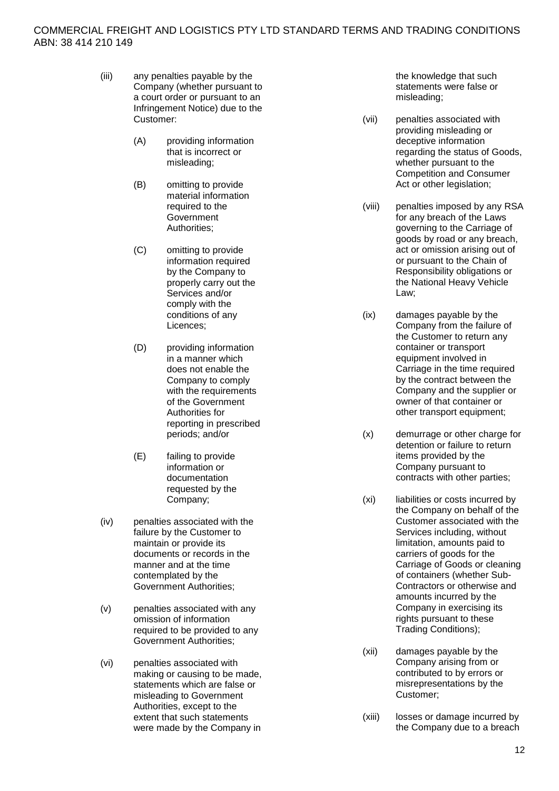- (iii) any penalties payable by the Company (whether pursuant to a court order or pursuant to an Infringement Notice) due to the Customer:
	- (A) providing information that is incorrect or misleading;
	- (B) omitting to provide material information required to the **Government** Authorities;
	- (C) omitting to provide information required by the Company to properly carry out the Services and/or comply with the conditions of any Licences;
	- (D) providing information in a manner which does not enable the Company to comply with the requirements of the Government Authorities for reporting in prescribed periods; and/or
	- (E) failing to provide information or documentation requested by the Company;
- (iv) penalties associated with the failure by the Customer to maintain or provide its documents or records in the manner and at the time contemplated by the Government Authorities;
- (v) penalties associated with any omission of information required to be provided to any Government Authorities;
- (vi) penalties associated with making or causing to be made, statements which are false or misleading to Government Authorities, except to the extent that such statements were made by the Company in

the knowledge that such statements were false or misleading;

- (vii) penalties associated with providing misleading or deceptive information regarding the status of Goods, whether pursuant to the Competition and Consumer Act or other legislation;
- (viii) penalties imposed by any RSA for any breach of the Laws governing to the Carriage of goods by road or any breach, act or omission arising out of or pursuant to the Chain of Responsibility obligations or the National Heavy Vehicle Law;
- (ix) damages payable by the Company from the failure of the Customer to return any container or transport equipment involved in Carriage in the time required by the contract between the Company and the supplier or owner of that container or other transport equipment;
- (x) demurrage or other charge for detention or failure to return items provided by the Company pursuant to contracts with other parties;
- (xi) liabilities or costs incurred by the Company on behalf of the Customer associated with the Services including, without limitation, amounts paid to carriers of goods for the Carriage of Goods or cleaning of containers (whether Sub-Contractors or otherwise and amounts incurred by the Company in exercising its rights pursuant to these Trading Conditions);
- (xii) damages payable by the Company arising from or contributed to by errors or misrepresentations by the Customer;
- (xiii) losses or damage incurred by the Company due to a breach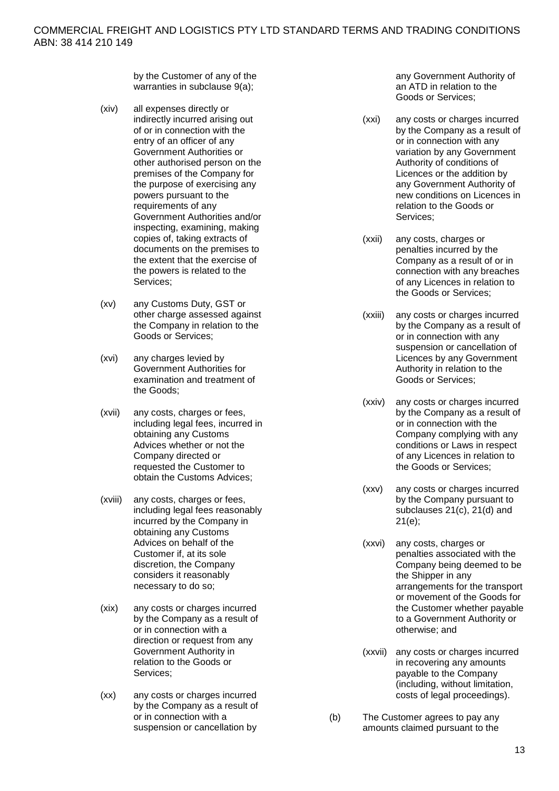by the Customer of any of the warranties in subclause [9\(a\);](#page-10-2)

- (xiv) all expenses directly or indirectly incurred arising out of or in connection with the entry of an officer of any Government Authorities or other authorised person on the premises of the Company for the purpose of exercising any powers pursuant to the requirements of any Government Authorities and/or inspecting, examining, making copies of, taking extracts of documents on the premises to the extent that the exercise of the powers is related to the Services;
- (xv) any Customs Duty, GST or other charge assessed against the Company in relation to the Goods or Services;
- (xvi) any charges levied by Government Authorities for examination and treatment of the Goods;
- (xvii) any costs, charges or fees, including legal fees, incurred in obtaining any Customs Advices whether or not the Company directed or requested the Customer to obtain the Customs Advices;
- (xviii) any costs, charges or fees, including legal fees reasonably incurred by the Company in obtaining any Customs Advices on behalf of the Customer if, at its sole discretion, the Company considers it reasonably necessary to do so;
- (xix) any costs or charges incurred by the Company as a result of or in connection with a direction or request from any Government Authority in relation to the Goods or Services;
- (xx) any costs or charges incurred by the Company as a result of or in connection with a suspension or cancellation by

any Government Authority of an ATD in relation to the Goods or Services;

- (xxi) any costs or charges incurred by the Company as a result of or in connection with any variation by any Government Authority of conditions of Licences or the addition by any Government Authority of new conditions on Licences in relation to the Goods or Services;
- (xxii) any costs, charges or penalties incurred by the Company as a result of or in connection with any breaches of any Licences in relation to the Goods or Services;
- (xxiii) any costs or charges incurred by the Company as a result of or in connection with any suspension or cancellation of Licences by any Government Authority in relation to the Goods or Services;
- (xxiv) any costs or charges incurred by the Company as a result of or in connection with the Company complying with any conditions or Laws in respect of any Licences in relation to the Goods or Services;
- (xxv) any costs or charges incurred by the Company pursuant to subclauses [21\(c\),](#page-18-0) [21\(d\)](#page-18-1) and [21\(e\);](#page-19-0)
- (xxvi) any costs, charges or penalties associated with the Company being deemed to be the Shipper in any arrangements for the transport or movement of the Goods for the Customer whether payable to a Government Authority or otherwise; and
- (xxvii) any costs or charges incurred in recovering any amounts payable to the Company (including, without limitation, costs of legal proceedings).
- (b) The Customer agrees to pay any amounts claimed pursuant to the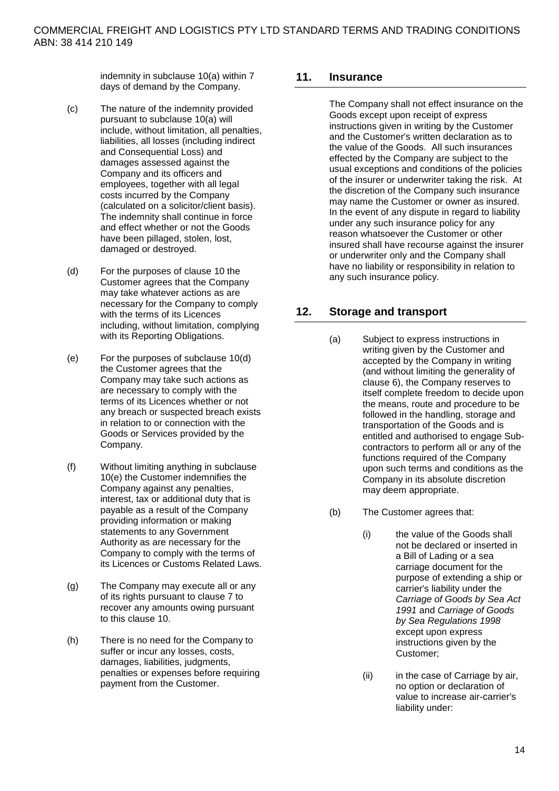indemnity in subclause [10\(a\)](#page-11-0) within 7 days of demand by the Company.

- <span id="page-14-4"></span>(c) The nature of the indemnity provided pursuant to subclause [10\(a\)](#page-11-0) will include, without limitation, all penalties, liabilities, all losses (including indirect and Consequential Loss) and damages assessed against the Company and its officers and employees, together with all legal costs incurred by the Company (calculated on a solicitor/client basis). The indemnity shall continue in force and effect whether or not the Goods have been pillaged, stolen, lost, damaged or destroyed.
- <span id="page-14-1"></span>(d) For the purposes of clause [10](#page-11-1) the Customer agrees that the Company may take whatever actions as are necessary for the Company to comply with the terms of its Licences including, without limitation, complying with its Reporting Obligations.
- <span id="page-14-2"></span>(e) For the purposes of subclause [10\(d\)](#page-14-1) the Customer agrees that the Company may take such actions as are necessary to comply with the terms of its Licences whether or not any breach or suspected breach exists in relation to or connection with the Goods or Services provided by the Company.
- (f) Without limiting anything in subclause [10\(e\)](#page-14-2) the Customer indemnifies the Company against any penalties, interest, tax or additional duty that is payable as a result of the Company providing information or making statements to any Government Authority as are necessary for the Company to comply with the terms of its Licences or Customs Related Laws.
- (g) The Company may execute all or any of its rights pursuant to clause [7](#page-8-1) to recover any amounts owing pursuant to this clause [10.](#page-11-1)
- (h) There is no need for the Company to suffer or incur any losses, costs, damages, liabilities, judgments, penalties or expenses before requiring payment from the Customer.

## <span id="page-14-0"></span>**11. Insurance**

The Company shall not effect insurance on the Goods except upon receipt of express instructions given in writing by the Customer and the Customer's written declaration as to the value of the Goods. All such insurances effected by the Company are subject to the usual exceptions and conditions of the policies of the insurer or underwriter taking the risk. At the discretion of the Company such insurance may name the Customer or owner as insured. In the event of any dispute in regard to liability under any such insurance policy for any reason whatsoever the Customer or other insured shall have recourse against the insurer or underwriter only and the Company shall have no liability or responsibility in relation to any such insurance policy.

## <span id="page-14-3"></span>**12. Storage and transport**

- (a) Subject to express instructions in writing given by the Customer and accepted by the Company in writing (and without limiting the generality of clause [6\)](#page-8-2), the Company reserves to itself complete freedom to decide upon the means, route and procedure to be followed in the handling, storage and transportation of the Goods and is entitled and authorised to engage Subcontractors to perform all or any of the functions required of the Company upon such terms and conditions as the Company in its absolute discretion may deem appropriate.
- (b) The Customer agrees that:
	- (i) the value of the Goods shall not be declared or inserted in a Bill of Lading or a sea carriage document for the purpose of extending a ship or carrier's liability under the *Carriage of Goods by Sea Act 1991* and *Carriage of Goods by Sea Regulations 1998* except upon express instructions given by the Customer;
	- (ii) in the case of Carriage by air, no option or declaration of value to increase air-carrier's liability under: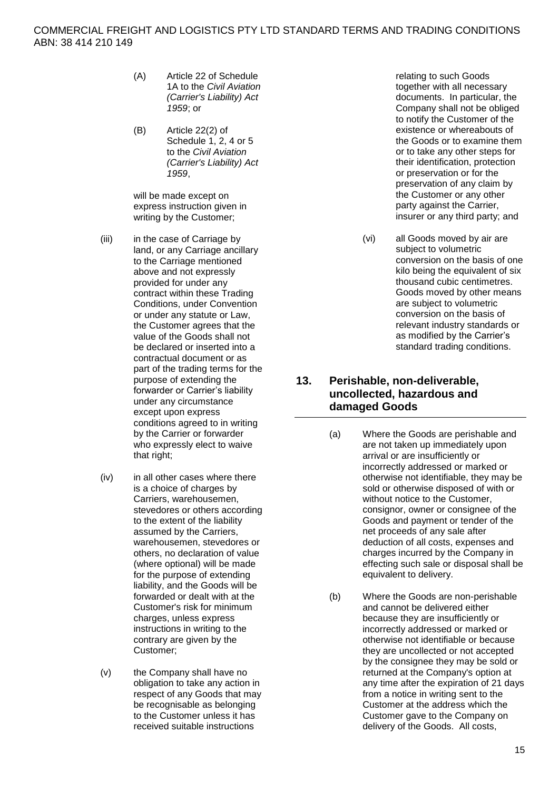- (A) Article 22 of Schedule 1A to the *Civil Aviation (Carrier's Liability) Act 1959*; or
- (B) Article 22(2) of Schedule 1, 2, 4 or 5 to the *Civil Aviation (Carrier's Liability) Act 1959*,

will be made except on express instruction given in writing by the Customer;

- (iii) in the case of Carriage by land, or any Carriage ancillary to the Carriage mentioned above and not expressly provided for under any contract within these Trading Conditions, under Convention or under any statute or Law, the Customer agrees that the value of the Goods shall not be declared or inserted into a contractual document or as part of the trading terms for the purpose of extending the forwarder or Carrier's liability under any circumstance except upon express conditions agreed to in writing by the Carrier or forwarder who expressly elect to waive that right;
- (iv) in all other cases where there is a choice of charges by Carriers, warehousemen, stevedores or others according to the extent of the liability assumed by the Carriers, warehousemen, stevedores or others, no declaration of value (where optional) will be made for the purpose of extending liability, and the Goods will be forwarded or dealt with at the Customer's risk for minimum charges, unless express instructions in writing to the contrary are given by the Customer;
- (v) the Company shall have no obligation to take any action in respect of any Goods that may be recognisable as belonging to the Customer unless it has received suitable instructions

relating to such Goods together with all necessary documents. In particular, the Company shall not be obliged to notify the Customer of the existence or whereabouts of the Goods or to examine them or to take any other steps for their identification, protection or preservation or for the preservation of any claim by the Customer or any other party against the Carrier, insurer or any third party; and

(vi) all Goods moved by air are subject to volumetric conversion on the basis of one kilo being the equivalent of six thousand cubic centimetres. Goods moved by other means are subject to volumetric conversion on the basis of relevant industry standards or as modified by the Carrier's standard trading conditions.

## **13. Perishable, non-deliverable, uncollected, hazardous and damaged Goods**

- <span id="page-15-0"></span>(a) Where the Goods are perishable and are not taken up immediately upon arrival or are insufficiently or incorrectly addressed or marked or otherwise not identifiable, they may be sold or otherwise disposed of with or without notice to the Customer, consignor, owner or consignee of the Goods and payment or tender of the net proceeds of any sale after deduction of all costs, expenses and charges incurred by the Company in effecting such sale or disposal shall be equivalent to delivery.
- <span id="page-15-1"></span>(b) Where the Goods are non-perishable and cannot be delivered either because they are insufficiently or incorrectly addressed or marked or otherwise not identifiable or because they are uncollected or not accepted by the consignee they may be sold or returned at the Company's option at any time after the expiration of 21 days from a notice in writing sent to the Customer at the address which the Customer gave to the Company on delivery of the Goods. All costs,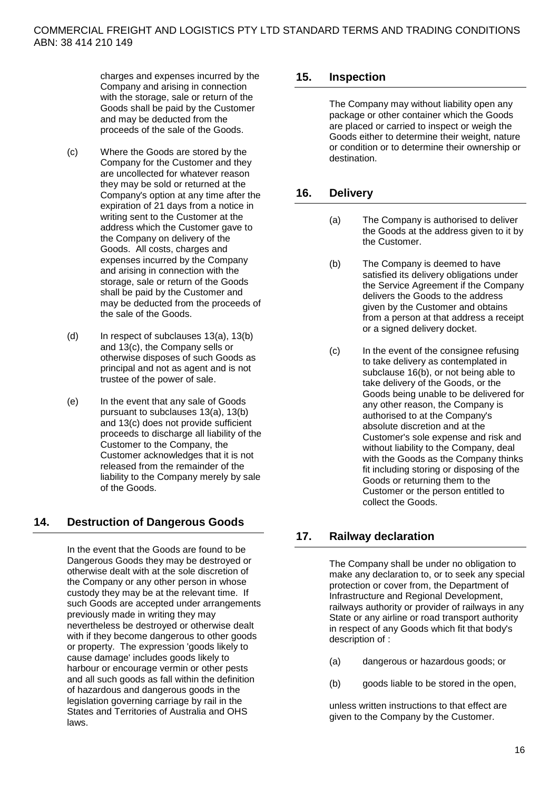charges and expenses incurred by the Company and arising in connection with the storage, sale or return of the Goods shall be paid by the Customer and may be deducted from the proceeds of the sale of the Goods.

- <span id="page-16-0"></span>(c) Where the Goods are stored by the Company for the Customer and they are uncollected for whatever reason they may be sold or returned at the Company's option at any time after the expiration of 21 days from a notice in writing sent to the Customer at the address which the Customer gave to the Company on delivery of the Goods. All costs, charges and expenses incurred by the Company and arising in connection with the storage, sale or return of the Goods shall be paid by the Customer and may be deducted from the proceeds of the sale of the Goods.
- $(d)$  In respect of subclauses [13\(a\),](#page-15-0) [13\(b\)](#page-15-1) and [13\(c\),](#page-16-0) the Company sells or otherwise disposes of such Goods as principal and not as agent and is not trustee of the power of sale.
- (e) In the event that any sale of Goods pursuant to subclauses [13\(a\),](#page-15-0) [13\(b\)](#page-15-1) and [13\(c\)](#page-16-0) does not provide sufficient proceeds to discharge all liability of the Customer to the Company, the Customer acknowledges that it is not released from the remainder of the liability to the Company merely by sale of the Goods.

# **14. Destruction of Dangerous Goods**

In the event that the Goods are found to be Dangerous Goods they may be destroyed or otherwise dealt with at the sole discretion of the Company or any other person in whose custody they may be at the relevant time. If such Goods are accepted under arrangements previously made in writing they may nevertheless be destroyed or otherwise dealt with if they become dangerous to other goods or property. The expression 'goods likely to cause damage' includes goods likely to harbour or encourage vermin or other pests and all such goods as fall within the definition of hazardous and dangerous goods in the legislation governing carriage by rail in the States and Territories of Australia and OHS laws.

## **15. Inspection**

The Company may without liability open any package or other container which the Goods are placed or carried to inspect or weigh the Goods either to determine their weight, nature or condition or to determine their ownership or destination.

## **16. Delivery**

- (a) The Company is authorised to deliver the Goods at the address given to it by the Customer.
- <span id="page-16-1"></span>(b) The Company is deemed to have satisfied its delivery obligations under the Service Agreement if the Company delivers the Goods to the address given by the Customer and obtains from a person at that address a receipt or a signed delivery docket.
- (c) In the event of the consignee refusing to take delivery as contemplated in subclause 1[6\(b\),](#page-16-1) or not being able to take delivery of the Goods, or the Goods being unable to be delivered for any other reason, the Company is authorised to at the Company's absolute discretion and at the Customer's sole expense and risk and without liability to the Company, deal with the Goods as the Company thinks fit including storing or disposing of the Goods or returning them to the Customer or the person entitled to collect the Goods.

# **17. Railway declaration**

The Company shall be under no obligation to make any declaration to, or to seek any special protection or cover from, the Department of Infrastructure and Regional Development, railways authority or provider of railways in any State or any airline or road transport authority in respect of any Goods which fit that body's description of :

- (a) dangerous or hazardous goods; or
- (b) goods liable to be stored in the open,

unless written instructions to that effect are given to the Company by the Customer.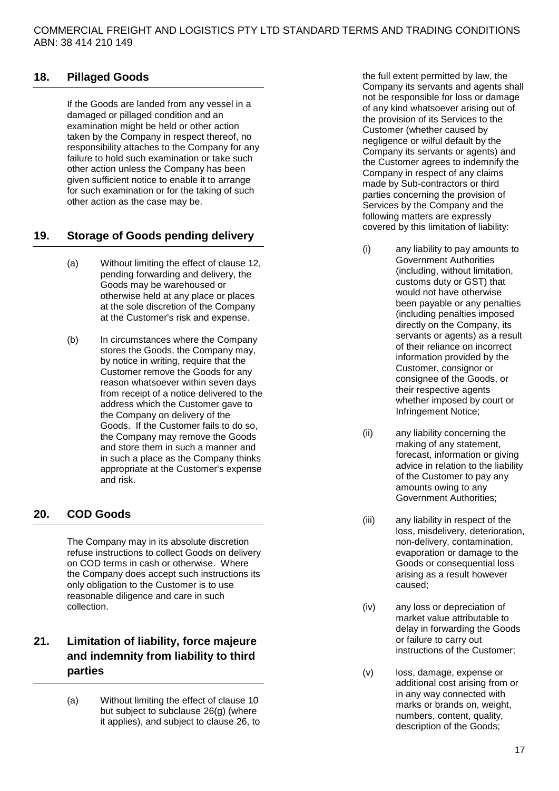## **18. Pillaged Goods**

If the Goods are landed from any vessel in a damaged or pillaged condition and an examination might be held or other action taken by the Company in respect thereof, no responsibility attaches to the Company for any failure to hold such examination or take such other action unless the Company has been given sufficient notice to enable it to arrange for such examination or for the taking of such other action as the case may be.

#### **19. Storage of Goods pending delivery**

- (a) Without limiting the effect of clause [12,](#page-14-3) pending forwarding and delivery, the Goods may be warehoused or otherwise held at any place or places at the sole discretion of the Company at the Customer's risk and expense.
- (b) In circumstances where the Company stores the Goods, the Company may, by notice in writing, require that the Customer remove the Goods for any reason whatsoever within seven days from receipt of a notice delivered to the address which the Customer gave to the Company on delivery of the Goods. If the Customer fails to do so, the Company may remove the Goods and store them in such a manner and in such a place as the Company thinks appropriate at the Customer's expense and risk.

## <span id="page-17-0"></span>**20. COD Goods**

The Company may in its absolute discretion refuse instructions to collect Goods on delivery on COD terms in cash or otherwise. Where the Company does accept such instructions its only obligation to the Customer is to use reasonable diligence and care in such collection.

# **21. Limitation of liability, force majeure and indemnity from liability to third parties**

<span id="page-17-1"></span>(a) Without limiting the effect of clause [10](#page-11-1) but subject to subclause [26\(g\)](#page-22-0) (where it applies), and subject to clause [26,](#page-21-0) to the full extent permitted by law, the Company its servants and agents shall not be responsible for loss or damage of any kind whatsoever arising out of the provision of its Services to the Customer (whether caused by negligence or wilful default by the Company its servants or agents) and the Customer agrees to indemnify the Company in respect of any claims made by Sub-contractors or third parties concerning the provision of Services by the Company and the following matters are expressly covered by this limitation of liability:

- (i) any liability to pay amounts to Government Authorities (including, without limitation, customs duty or GST) that would not have otherwise been payable or any penalties (including penalties imposed directly on the Company, its servants or agents) as a result of their reliance on incorrect information provided by the Customer, consignor or consignee of the Goods, or their respective agents whether imposed by court or Infringement Notice;
- (ii) any liability concerning the making of any statement, forecast, information or giving advice in relation to the liability of the Customer to pay any amounts owing to any Government Authorities;
- (iii) any liability in respect of the loss, misdelivery, deterioration, non-delivery, contamination, evaporation or damage to the Goods or consequential loss arising as a result however caused;
- (iv) any loss or depreciation of market value attributable to delay in forwarding the Goods or failure to carry out instructions of the Customer;
- (v) loss, damage, expense or additional cost arising from or in any way connected with marks or brands on, weight, numbers, content, quality, description of the Goods;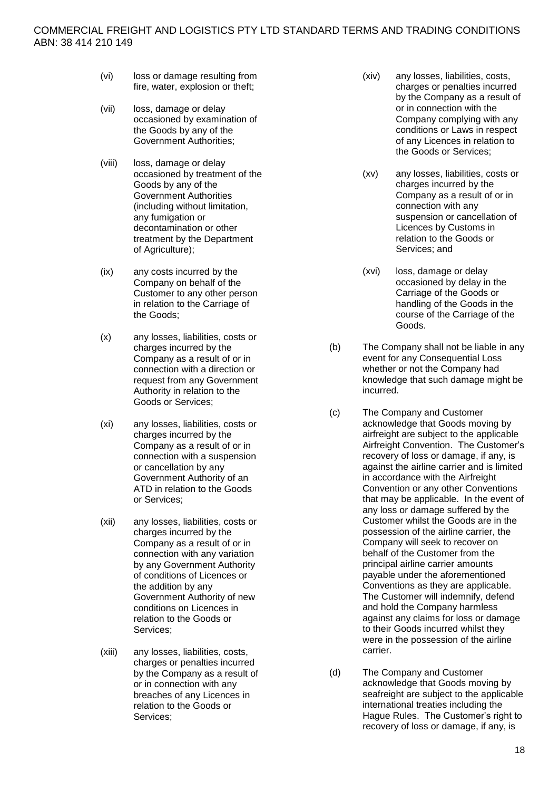- (vi) loss or damage resulting from fire, water, explosion or theft;
- (vii) loss, damage or delay occasioned by examination of the Goods by any of the Government Authorities;
- (viii) loss, damage or delay occasioned by treatment of the Goods by any of the Government Authorities (including without limitation, any fumigation or decontamination or other treatment by the Department of Agriculture);
- (ix) any costs incurred by the Company on behalf of the Customer to any other person in relation to the Carriage of the Goods;
- (x) any losses, liabilities, costs or charges incurred by the Company as a result of or in connection with a direction or request from any Government Authority in relation to the Goods or Services;
- (xi) any losses, liabilities, costs or charges incurred by the Company as a result of or in connection with a suspension or cancellation by any Government Authority of an ATD in relation to the Goods or Services;
- (xii) any losses, liabilities, costs or charges incurred by the Company as a result of or in connection with any variation by any Government Authority of conditions of Licences or the addition by any Government Authority of new conditions on Licences in relation to the Goods or Services;
- (xiii) any losses, liabilities, costs, charges or penalties incurred by the Company as a result of or in connection with any breaches of any Licences in relation to the Goods or Services;
- (xiv) any losses, liabilities, costs, charges or penalties incurred by the Company as a result of or in connection with the Company complying with any conditions or Laws in respect of any Licences in relation to the Goods or Services;
- (xv) any losses, liabilities, costs or charges incurred by the Company as a result of or in connection with any suspension or cancellation of Licences by Customs in relation to the Goods or Services; and
- (xvi) loss, damage or delay occasioned by delay in the Carriage of the Goods or handling of the Goods in the course of the Carriage of the Goods.
- (b) The Company shall not be liable in any event for any Consequential Loss whether or not the Company had knowledge that such damage might be incurred.
- <span id="page-18-0"></span>(c) The Company and Customer acknowledge that Goods moving by airfreight are subject to the applicable Airfreight Convention. The Customer's recovery of loss or damage, if any, is against the airline carrier and is limited in accordance with the Airfreight Convention or any other Conventions that may be applicable. In the event of any loss or damage suffered by the Customer whilst the Goods are in the possession of the airline carrier, the Company will seek to recover on behalf of the Customer from the principal airline carrier amounts payable under the aforementioned Conventions as they are applicable. The Customer will indemnify, defend and hold the Company harmless against any claims for loss or damage to their Goods incurred whilst they were in the possession of the airline carrier.
- <span id="page-18-1"></span>(d) The Company and Customer acknowledge that Goods moving by seafreight are subject to the applicable international treaties including the Hague Rules. The Customer's right to recovery of loss or damage, if any, is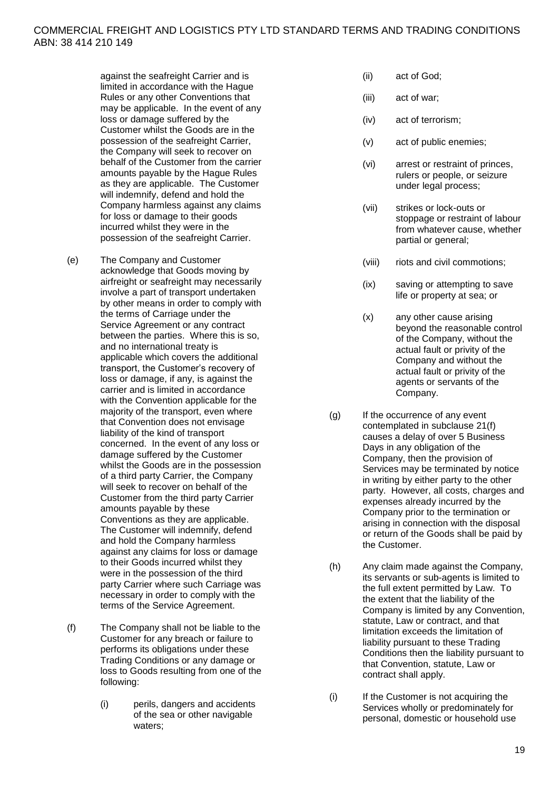against the seafreight Carrier and is limited in accordance with the Hague Rules or any other Conventions that may be applicable. In the event of any loss or damage suffered by the Customer whilst the Goods are in the possession of the seafreight Carrier. the Company will seek to recover on behalf of the Customer from the carrier amounts payable by the Hague Rules as they are applicable. The Customer will indemnify, defend and hold the Company harmless against any claims for loss or damage to their goods incurred whilst they were in the possession of the seafreight Carrier.

- <span id="page-19-0"></span>(e) The Company and Customer acknowledge that Goods moving by airfreight or seafreight may necessarily involve a part of transport undertaken by other means in order to comply with the terms of Carriage under the Service Agreement or any contract between the parties. Where this is so, and no international treaty is applicable which covers the additional transport, the Customer's recovery of loss or damage, if any, is against the carrier and is limited in accordance with the Convention applicable for the majority of the transport, even where that Convention does not envisage liability of the kind of transport concerned. In the event of any loss or damage suffered by the Customer whilst the Goods are in the possession of a third party Carrier, the Company will seek to recover on behalf of the Customer from the third party Carrier amounts payable by these Conventions as they are applicable. The Customer will indemnify, defend and hold the Company harmless against any claims for loss or damage to their Goods incurred whilst they were in the possession of the third party Carrier where such Carriage was necessary in order to comply with the terms of the Service Agreement.
- <span id="page-19-1"></span>(f) The Company shall not be liable to the Customer for any breach or failure to performs its obligations under these Trading Conditions or any damage or loss to Goods resulting from one of the following:
	- (i) perils, dangers and accidents of the sea or other navigable waters;
- (ii) act of God;
- (iii) act of war;
- (iv) act of terrorism;
- (v) act of public enemies;
- (vi) arrest or restraint of princes, rulers or people, or seizure under legal process:
- (vii) strikes or lock-outs or stoppage or restraint of labour from whatever cause, whether partial or general;
- (viii) riots and civil commotions;
- (ix) saving or attempting to save life or property at sea; or
- (x) any other cause arising beyond the reasonable control of the Company, without the actual fault or privity of the Company and without the actual fault or privity of the agents or servants of the Company.
- (g) If the occurrence of any event contemplated in subclause [21\(f\)](#page-19-1) causes a delay of over 5 Business Days in any obligation of the Company, then the provision of Services may be terminated by notice in writing by either party to the other party. However, all costs, charges and expenses already incurred by the Company prior to the termination or arising in connection with the disposal or return of the Goods shall be paid by the Customer.
- (h) Any claim made against the Company, its servants or sub-agents is limited to the full extent permitted by Law. To the extent that the liability of the Company is limited by any Convention, statute, Law or contract, and that limitation exceeds the limitation of liability pursuant to these Trading Conditions then the liability pursuant to that Convention, statute, Law or contract shall apply.
- (i) If the Customer is not acquiring the Services wholly or predominately for personal, domestic or household use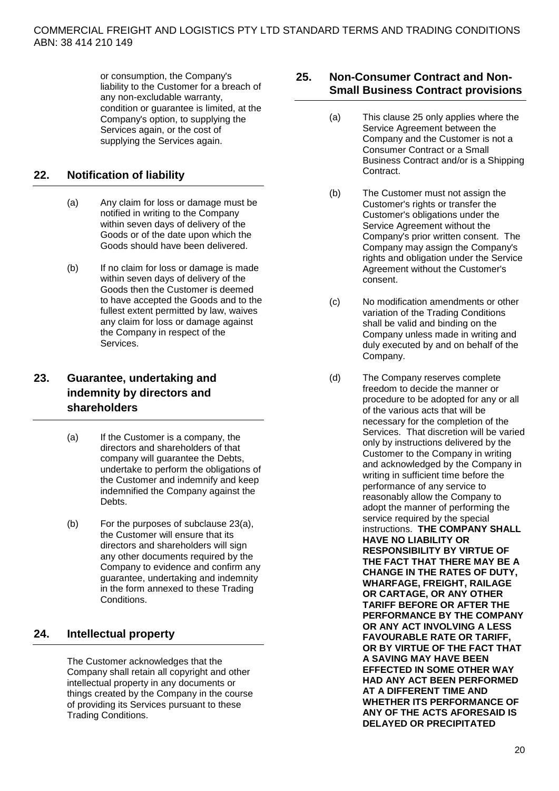or consumption, the Company's liability to the Customer for a breach of any non-excludable warranty, condition or guarantee is limited, at the Company's option, to supplying the Services again, or the cost of supplying the Services again.

# **22. Notification of liability**

- (a) Any claim for loss or damage must be notified in writing to the Company within seven days of delivery of the Goods or of the date upon which the Goods should have been delivered.
- (b) If no claim for loss or damage is made within seven days of delivery of the Goods then the Customer is deemed to have accepted the Goods and to the fullest extent permitted by law, waives any claim for loss or damage against the Company in respect of the Services.

# **23. Guarantee, undertaking and indemnity by directors and shareholders**

- <span id="page-20-1"></span>(a) If the Customer is a company, the directors and shareholders of that company will guarantee the Debts, undertake to perform the obligations of the Customer and indemnify and keep indemnified the Company against the **Debts**.
- (b) For the purposes of subclause [23\(a\),](#page-20-1) the Customer will ensure that its directors and shareholders will sign any other documents required by the Company to evidence and confirm any guarantee, undertaking and indemnity in the form annexed to these Trading Conditions.

# **24. Intellectual property**

The Customer acknowledges that the Company shall retain all copyright and other intellectual property in any documents or things created by the Company in the course of providing its Services pursuant to these Trading Conditions.

## <span id="page-20-0"></span>**25. Non-Consumer Contract and Non-Small Business Contract provisions**

- (a) This clause [25](#page-20-0) only applies where the Service Agreement between the Company and the Customer is not a Consumer Contract or a Small Business Contract and/or is a Shipping **Contract.**
- (b) The Customer must not assign the Customer's rights or transfer the Customer's obligations under the Service Agreement without the Company's prior written consent. The Company may assign the Company's rights and obligation under the Service Agreement without the Customer's consent.
- (c) No modification amendments or other variation of the Trading Conditions shall be valid and binding on the Company unless made in writing and duly executed by and on behalf of the Company.
- (d) The Company reserves complete freedom to decide the manner or procedure to be adopted for any or all of the various acts that will be necessary for the completion of the Services. That discretion will be varied only by instructions delivered by the Customer to the Company in writing and acknowledged by the Company in writing in sufficient time before the performance of any service to reasonably allow the Company to adopt the manner of performing the service required by the special instructions. **THE COMPANY SHALL HAVE NO LIABILITY OR RESPONSIBILITY BY VIRTUE OF THE FACT THAT THERE MAY BE A CHANGE IN THE RATES OF DUTY, WHARFAGE, FREIGHT, RAILAGE OR CARTAGE, OR ANY OTHER TARIFF BEFORE OR AFTER THE PERFORMANCE BY THE COMPANY OR ANY ACT INVOLVING A LESS FAVOURABLE RATE OR TARIFF, OR BY VIRTUE OF THE FACT THAT A SAVING MAY HAVE BEEN EFFECTED IN SOME OTHER WAY HAD ANY ACT BEEN PERFORMED AT A DIFFERENT TIME AND WHETHER ITS PERFORMANCE OF ANY OF THE ACTS AFORESAID IS DELAYED OR PRECIPITATED**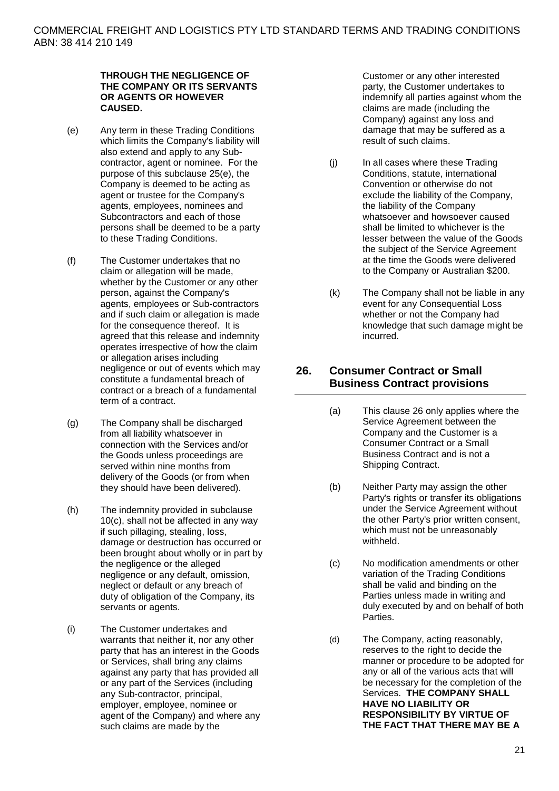#### **THROUGH THE NEGLIGENCE OF THE COMPANY OR ITS SERVANTS OR AGENTS OR HOWEVER CAUSED.**

- <span id="page-21-1"></span>(e) Any term in these Trading Conditions which limits the Company's liability will also extend and apply to any Subcontractor, agent or nominee. For the purpose of this subclause [25\(e\),](#page-21-1) the Company is deemed to be acting as agent or trustee for the Company's agents, employees, nominees and Subcontractors and each of those persons shall be deemed to be a party to these Trading Conditions.
- (f) The Customer undertakes that no claim or allegation will be made, whether by the Customer or any other person, against the Company's agents, employees or Sub-contractors and if such claim or allegation is made for the consequence thereof. It is agreed that this release and indemnity operates irrespective of how the claim or allegation arises including negligence or out of events which may constitute a fundamental breach of contract or a breach of a fundamental term of a contract.
- (g) The Company shall be discharged from all liability whatsoever in connection with the Services and/or the Goods unless proceedings are served within nine months from delivery of the Goods (or from when they should have been delivered).
- (h) The indemnity provided in subclause [10\(c\),](#page-14-4) shall not be affected in any way if such pillaging, stealing, loss, damage or destruction has occurred or been brought about wholly or in part by the negligence or the alleged negligence or any default, omission, neglect or default or any breach of duty of obligation of the Company, its servants or agents.
- (i) The Customer undertakes and warrants that neither it, nor any other party that has an interest in the Goods or Services, shall bring any claims against any party that has provided all or any part of the Services (including any Sub-contractor, principal, employer, employee, nominee or agent of the Company) and where any such claims are made by the

Customer or any other interested party, the Customer undertakes to indemnify all parties against whom the claims are made (including the Company) against any loss and damage that may be suffered as a result of such claims.

- (j) In all cases where these Trading Conditions, statute, international Convention or otherwise do not exclude the liability of the Company, the liability of the Company whatsoever and howsoever caused shall be limited to whichever is the lesser between the value of the Goods the subject of the Service Agreement at the time the Goods were delivered to the Company or Australian \$200.
- (k) The Company shall not be liable in any event for any Consequential Loss whether or not the Company had knowledge that such damage might be incurred.

## <span id="page-21-0"></span>**26. Consumer Contract or Small Business Contract provisions**

- (a) This clause [26](#page-21-0) only applies where the Service Agreement between the Company and the Customer is a Consumer Contract or a Small Business Contract and is not a Shipping Contract.
- (b) Neither Party may assign the other Party's rights or transfer its obligations under the Service Agreement without the other Party's prior written consent, which must not be unreasonably withheld.
- (c) No modification amendments or other variation of the Trading Conditions shall be valid and binding on the Parties unless made in writing and duly executed by and on behalf of both Parties.
- (d) The Company, acting reasonably, reserves to the right to decide the manner or procedure to be adopted for any or all of the various acts that will be necessary for the completion of the Services. **THE COMPANY SHALL HAVE NO LIABILITY OR RESPONSIBILITY BY VIRTUE OF THE FACT THAT THERE MAY BE A**